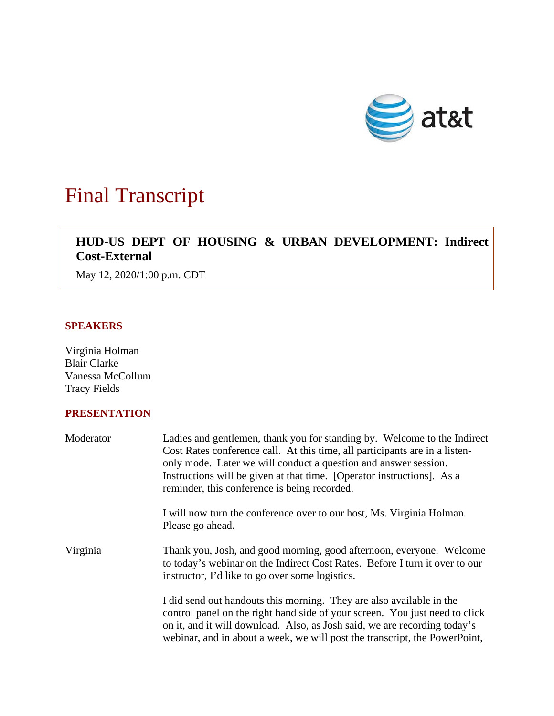

# Final Transcript

## $\overline{\phantom{a}}$ **HUD-US DEPT OF HOUSING & URBAN DEVELOPMENT: Indirect Cost-External**

May 12, 2020/1:00 p.m. CDT

## **SPEAKERS**

Virginia Holman Blair Clarke Vanessa McCollum Tracy Fields

## **PRESENTATION**

| Moderator | Ladies and gentlemen, thank you for standing by. Welcome to the Indirect<br>Cost Rates conference call. At this time, all participants are in a listen-<br>only mode. Later we will conduct a question and answer session.<br>Instructions will be given at that time. [Operator instructions]. As a<br>reminder, this conference is being recorded. |
|-----------|------------------------------------------------------------------------------------------------------------------------------------------------------------------------------------------------------------------------------------------------------------------------------------------------------------------------------------------------------|
|           | I will now turn the conference over to our host, Ms. Virginia Holman.<br>Please go ahead.                                                                                                                                                                                                                                                            |
| Virginia  | Thank you, Josh, and good morning, good afternoon, everyone. Welcome<br>to today's webinar on the Indirect Cost Rates. Before I turn it over to our<br>instructor, I'd like to go over some logistics.                                                                                                                                               |
|           | I did send out handouts this morning. They are also available in the<br>control panel on the right hand side of your screen. You just need to click<br>on it, and it will download. Also, as Josh said, we are recording today's<br>webinar, and in about a week, we will post the transcript, the PowerPoint,                                       |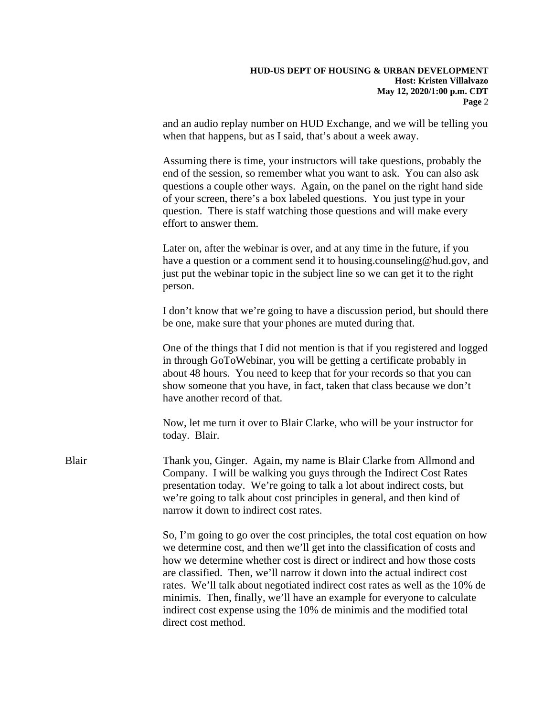and an audio replay number on HUD Exchange, and we will be telling you when that happens, but as I said, that's about a week away.

 end of the session, so remember what you want to ask. You can also ask of your screen, there's a box labeled questions. You just type in your Assuming there is time, your instructors will take questions, probably the questions a couple other ways. Again, on the panel on the right hand side question. There is staff watching those questions and will make every effort to answer them.

Later on, after the webinar is over, and at any time in the future, if you have a question or a comment send it to housing.counseling@hud.gov, and just put the webinar topic in the subject line so we can get it to the right person.

I don't know that we're going to have a discussion period, but should there be one, make sure that your phones are muted during that.

 in through GoToWebinar, you will be getting a certificate probably in about 48 hours. You need to keep that for your records so that you can have another record of that. One of the things that I did not mention is that if you registered and logged show someone that you have, in fact, taken that class because we don't

 Now, let me turn it over to Blair Clarke, who will be your instructor for today. Blair.

 Company. I will be walking you guys through the Indirect Cost Rates presentation today. We're going to talk a lot about indirect costs, but Blair Thank you, Ginger. Again, my name is Blair Clarke from Allmond and we're going to talk about cost principles in general, and then kind of narrow it down to indirect cost rates.

> how we determine whether cost is direct or indirect and how those costs minimis. Then, finally, we'll have an example for everyone to calculate So, I'm going to go over the cost principles, the total cost equation on how we determine cost, and then we'll get into the classification of costs and are classified. Then, we'll narrow it down into the actual indirect cost rates. We'll talk about negotiated indirect cost rates as well as the 10% de indirect cost expense using the 10% de minimis and the modified total direct cost method.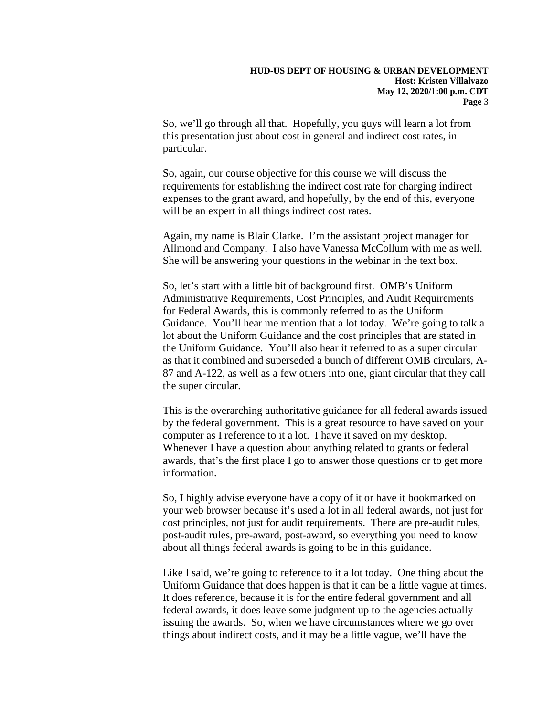So, we'll go through all that. Hopefully, you guys will learn a lot from particular. this presentation just about cost in general and indirect cost rates, in

So, again, our course objective for this course we will discuss the requirements for establishing the indirect cost rate for charging indirect expenses to the grant award, and hopefully, by the end of this, everyone will be an expert in all things indirect cost rates.

 Allmond and Company. I also have Vanessa McCollum with me as well. She will be answering your questions in the webinar in the text box. Again, my name is Blair Clarke. I'm the assistant project manager for

 lot about the Uniform Guidance and the cost principles that are stated in the Uniform Guidance. You'll also hear it referred to as a super circular So, let's start with a little bit of background first. OMB's Uniform Administrative Requirements, Cost Principles, and Audit Requirements for Federal Awards, this is commonly referred to as the Uniform Guidance. You'll hear me mention that a lot today. We're going to talk a as that it combined and superseded a bunch of different OMB circulars, A-87 and A-122, as well as a few others into one, giant circular that they call the super circular.

 computer as I reference to it a lot. I have it saved on my desktop. Whenever I have a question about anything related to grants or federal This is the overarching authoritative guidance for all federal awards issued by the federal government. This is a great resource to have saved on your awards, that's the first place I go to answer those questions or to get more information.

 about all things federal awards is going to be in this guidance. So, I highly advise everyone have a copy of it or have it bookmarked on your web browser because it's used a lot in all federal awards, not just for cost principles, not just for audit requirements. There are pre-audit rules, post-audit rules, pre-award, post-award, so everything you need to know

 Uniform Guidance that does happen is that it can be a little vague at times. It does reference, because it is for the entire federal government and all federal awards, it does leave some judgment up to the agencies actually Like I said, we're going to reference to it a lot today. One thing about the issuing the awards. So, when we have circumstances where we go over things about indirect costs, and it may be a little vague, we'll have the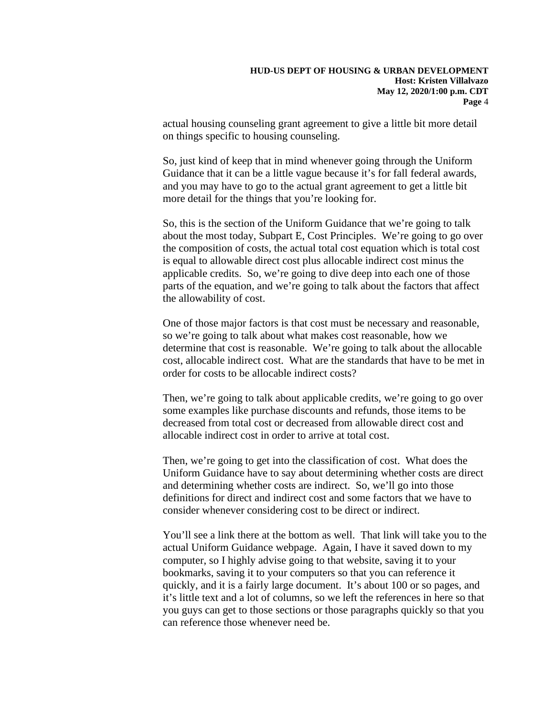actual housing counseling grant agreement to give a little bit more detail on things specific to housing counseling.

 Guidance that it can be a little vague because it's for fall federal awards, So, just kind of keep that in mind whenever going through the Uniform and you may have to go to the actual grant agreement to get a little bit more detail for the things that you're looking for.

 So, this is the section of the Uniform Guidance that we're going to talk the composition of costs, the actual total cost equation which is total cost parts of the equation, and we're going to talk about the factors that affect about the most today, Subpart E, Cost Principles. We're going to go over is equal to allowable direct cost plus allocable indirect cost minus the applicable credits. So, we're going to dive deep into each one of those the allowability of cost.

order for costs to be allocable indirect costs? One of those major factors is that cost must be necessary and reasonable, so we're going to talk about what makes cost reasonable, how we determine that cost is reasonable. We're going to talk about the allocable cost, allocable indirect cost. What are the standards that have to be met in

 decreased from total cost or decreased from allowable direct cost and allocable indirect cost in order to arrive at total cost. Then, we're going to talk about applicable credits, we're going to go over some examples like purchase discounts and refunds, those items to be

 allocable indirect cost in order to arrive at total cost. Then, we're going to get into the classification of cost. What does the Uniform Guidance have to say about determining whether costs are direct and determining whether costs are indirect. So, we'll go into those definitions for direct and indirect cost and some factors that we have to consider whenever considering cost to be direct or indirect.

You'll see a link there at the bottom as well. That link will take you to the actual Uniform Guidance webpage. Again, I have it saved down to my computer, so I highly advise going to that website, saving it to your bookmarks, saving it to your computers so that you can reference it quickly, and it is a fairly large document. It's about 100 or so pages, and it's little text and a lot of columns, so we left the references in here so that you guys can get to those sections or those paragraphs quickly so that you can reference those whenever need be.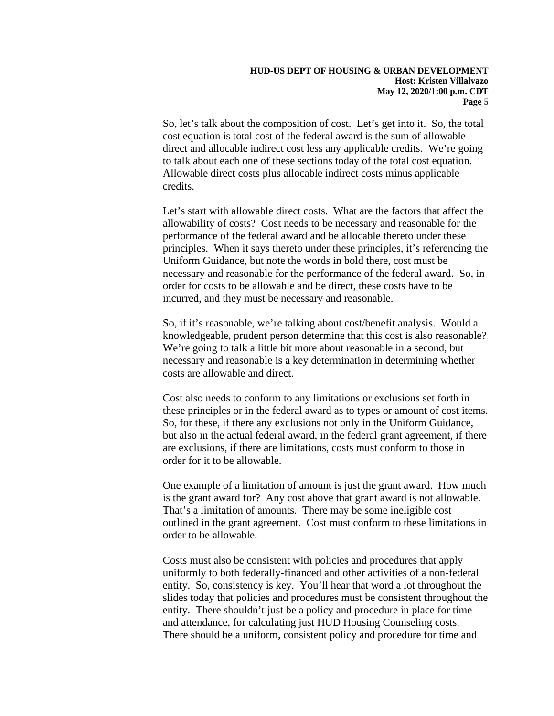So, let's talk about the composition of cost. Let's get into it. So, the total direct and allocable indirect cost less any applicable credits. We're going cost equation is total cost of the federal award is the sum of allowable to talk about each one of these sections today of the total cost equation. Allowable direct costs plus allocable indirect costs minus applicable credits.

Let's start with allowable direct costs. What are the factors that affect the allowability of costs? Cost needs to be necessary and reasonable for the performance of the federal award and be allocable thereto under these principles. When it says thereto under these principles, it's referencing the Uniform Guidance, but note the words in bold there, cost must be necessary and reasonable for the performance of the federal award. So, in order for costs to be allowable and be direct, these costs have to be incurred, and they must be necessary and reasonable.

 So, if it's reasonable, we're talking about cost/benefit analysis. Would a knowledgeable, prudent person determine that this cost is also reasonable? knowledgeable, prudent person determine that this cost is also reasonable? We're going to talk a little bit more about reasonable in a second, but necessary and reasonable is a key determination in determining whether costs are allowable and direct.

 So, for these, if there any exclusions not only in the Uniform Guidance, but also in the actual federal award, in the federal grant agreement, if there Cost also needs to conform to any limitations or exclusions set forth in these principles or in the federal award as to types or amount of cost items. are exclusions, if there are limitations, costs must conform to those in order for it to be allowable.

 order to be allowable. One example of a limitation of amount is just the grant award. How much is the grant award for? Any cost above that grant award is not allowable. That's a limitation of amounts. There may be some ineligible cost outlined in the grant agreement. Cost must conform to these limitations in

 entity. So, consistency is key. You'll hear that word a lot throughout the entity. There shouldn't just be a policy and procedure in place for time There should be a uniform, consistent policy and procedure for time and Costs must also be consistent with policies and procedures that apply uniformly to both federally-financed and other activities of a non-federal slides today that policies and procedures must be consistent throughout the and attendance, for calculating just HUD Housing Counseling costs.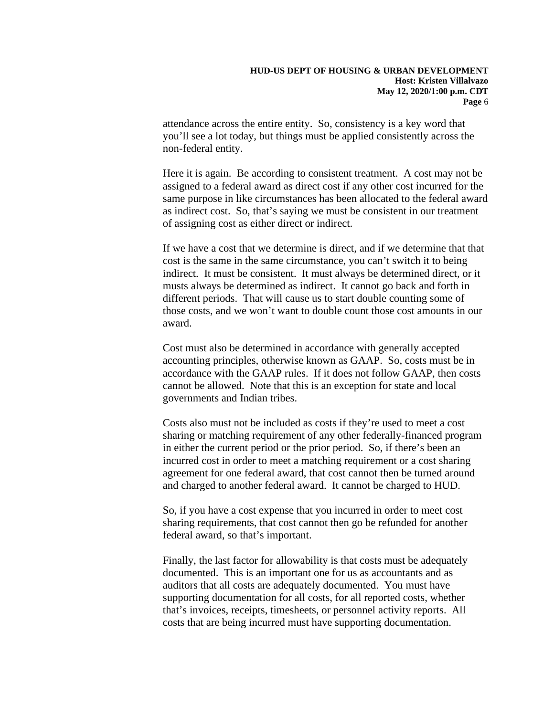attendance across the entire entity. So, consistency is a key word that you'll see a lot today, but things must be applied consistently across the non-federal entity.

 Here it is again. Be according to consistent treatment. A cost may not be assigned to a federal award as direct cost if any other cost incurred for the same purpose in like circumstances has been allocated to the federal award as indirect cost. So, that's saying we must be consistent in our treatment of assigning cost as either direct or indirect.

 If we have a cost that we determine is direct, and if we determine that that indirect. It must be consistent. It must always be determined direct, or it musts always be determined as indirect. It cannot go back and forth in those costs, and we won't want to double count those cost amounts in our cost is the same in the same circumstance, you can't switch it to being different periods. That will cause us to start double counting some of award.

Cost must also be determined in accordance with generally accepted accounting principles, otherwise known as GAAP. So, costs must be in accordance with the GAAP rules. If it does not follow GAAP, then costs cannot be allowed. Note that this is an exception for state and local governments and Indian tribes.

 incurred cost in order to meet a matching requirement or a cost sharing agreement for one federal award, that cost cannot then be turned around Costs also must not be included as costs if they're used to meet a cost sharing or matching requirement of any other federally-financed program in either the current period or the prior period. So, if there's been an and charged to another federal award. It cannot be charged to HUD.

 So, if you have a cost expense that you incurred in order to meet cost federal award, so that's important. sharing requirements, that cost cannot then go be refunded for another

 documented. This is an important one for us as accountants and as Finally, the last factor for allowability is that costs must be adequately auditors that all costs are adequately documented. You must have supporting documentation for all costs, for all reported costs, whether that's invoices, receipts, timesheets, or personnel activity reports. All costs that are being incurred must have supporting documentation.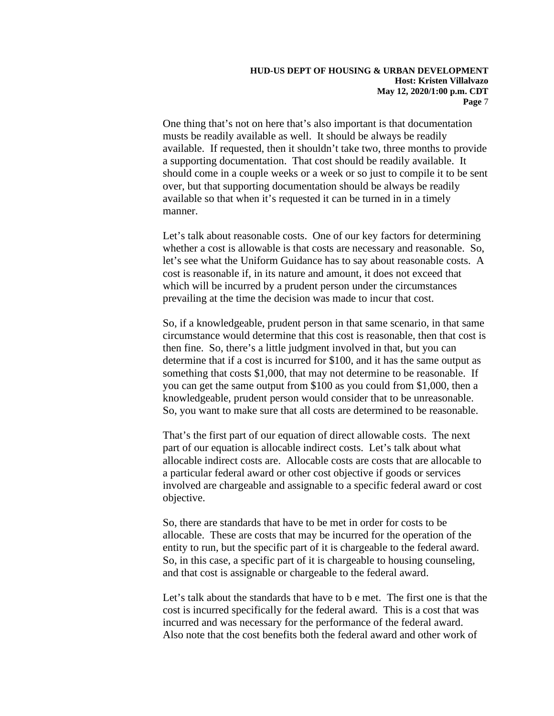#### **Host: Kristen Villalvazo HUD-US DEPT OF HOUSING & URBAN DEVELOPMENT May 12, 2020/1:00 p.m. CDT Page** 7

 musts be readily available as well. It should be always be readily a supporting documentation. That cost should be readily available. It should come in a couple weeks or a week or so just to compile it to be sent One thing that's not on here that's also important is that documentation available. If requested, then it shouldn't take two, three months to provide over, but that supporting documentation should be always be readily available so that when it's requested it can be turned in in a timely manner.

 Let's talk about reasonable costs. One of our key factors for determining let's see what the Uniform Guidance has to say about reasonable costs. A which will be incurred by a prudent person under the circumstances prevailing at the time the decision was made to incur that cost. whether a cost is allowable is that costs are necessary and reasonable. So, cost is reasonable if, in its nature and amount, it does not exceed that

 then fine. So, there's a little judgment involved in that, but you can So, if a knowledgeable, prudent person in that same scenario, in that same circumstance would determine that this cost is reasonable, then that cost is determine that if a cost is incurred for \$100, and it has the same output as something that costs \$1,000, that may not determine to be reasonable. If you can get the same output from \$100 as you could from \$1,000, then a knowledgeable, prudent person would consider that to be unreasonable. So, you want to make sure that all costs are determined to be reasonable.

 That's the first part of our equation of direct allowable costs. The next involved are chargeable and assignable to a specific federal award or cost part of our equation is allocable indirect costs. Let's talk about what allocable indirect costs are. Allocable costs are costs that are allocable to a particular federal award or other cost objective if goods or services objective.

 entity to run, but the specific part of it is chargeable to the federal award. So, in this case, a specific part of it is chargeable to housing counseling, and that cost is assignable or chargeable to the federal award. So, there are standards that have to be met in order for costs to be allocable. These are costs that may be incurred for the operation of the

 and that cost is assignable or chargeable to the federal award. Let's talk about the standards that have to b e met. The first one is that the cost is incurred specifically for the federal award. This is a cost that was incurred and was necessary for the performance of the federal award. Also note that the cost benefits both the federal award and other work of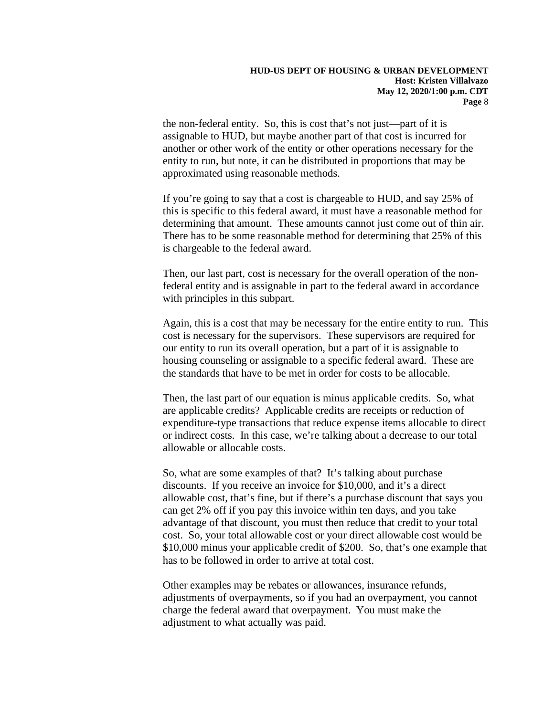assignable to HUD, but maybe another part of that cost is incurred for another or other work of the entity or other operations necessary for the the non-federal entity. So, this is cost that's not just—part of it is entity to run, but note, it can be distributed in proportions that may be approximated using reasonable methods.

 There has to be some reasonable method for determining that 25% of this is chargeable to the federal award. If you're going to say that a cost is chargeable to HUD, and say 25% of this is specific to this federal award, it must have a reasonable method for determining that amount. These amounts cannot just come out of thin air.

Then, our last part, cost is necessary for the overall operation of the nonfederal entity and is assignable in part to the federal award in accordance with principles in this subpart.

 housing counseling or assignable to a specific federal award. These are Again, this is a cost that may be necessary for the entire entity to run. This cost is necessary for the supervisors. These supervisors are required for our entity to run its overall operation, but a part of it is assignable to the standards that have to be met in order for costs to be allocable.

 or indirect costs. In this case, we're talking about a decrease to our total Then, the last part of our equation is minus applicable credits. So, what are applicable credits? Applicable credits are receipts or reduction of expenditure-type transactions that reduce expense items allocable to direct allowable or allocable costs.

 discounts. If you receive an invoice for \$10,000, and it's a direct allowable cost, that's fine, but if there's a purchase discount that says you advantage of that discount, you must then reduce that credit to your total cost. So, your total allowable cost or your direct allowable cost would be So, what are some examples of that? It's talking about purchase can get 2% off if you pay this invoice within ten days, and you take \$10,000 minus your applicable credit of \$200. So, that's one example that has to be followed in order to arrive at total cost.

Other examples may be rebates or allowances, insurance refunds, adjustments of overpayments, so if you had an overpayment, you cannot charge the federal award that overpayment. You must make the adjustment to what actually was paid.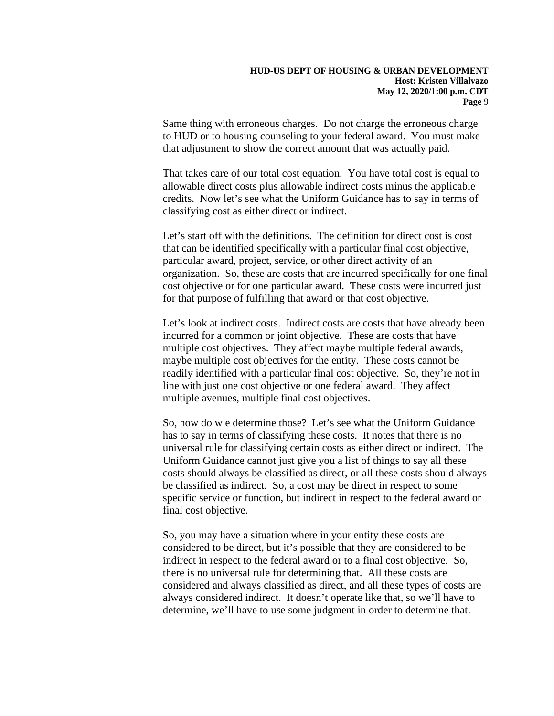Same thing with erroneous charges. Do not charge the erroneous charge to HUD or to housing counseling to your federal award. You must make that adjustment to show the correct amount that was actually paid.

 classifying cost as either direct or indirect. That takes care of our total cost equation. You have total cost is equal to allowable direct costs plus allowable indirect costs minus the applicable credits. Now let's see what the Uniform Guidance has to say in terms of

 Let's start off with the definitions. The definition for direct cost is cost cost objective or for one particular award. These costs were incurred just that can be identified specifically with a particular final cost objective, particular award, project, service, or other direct activity of an organization. So, these are costs that are incurred specifically for one final for that purpose of fulfilling that award or that cost objective.

 line with just one cost objective or one federal award. They affect Let's look at indirect costs. Indirect costs are costs that have already been incurred for a common or joint objective. These are costs that have multiple cost objectives. They affect maybe multiple federal awards, maybe multiple cost objectives for the entity. These costs cannot be readily identified with a particular final cost objective. So, they're not in multiple avenues, multiple final cost objectives.

 be classified as indirect. So, a cost may be direct in respect to some specific service or function, but indirect in respect to the federal award or So, how do w e determine those? Let's see what the Uniform Guidance has to say in terms of classifying these costs. It notes that there is no universal rule for classifying certain costs as either direct or indirect. The Uniform Guidance cannot just give you a list of things to say all these costs should always be classified as direct, or all these costs should always final cost objective.

 considered to be direct, but it's possible that they are considered to be there is no universal rule for determining that. All these costs are considered and always classified as direct, and all these types of costs are always considered indirect. It doesn't operate like that, so we'll have to determine, we'll have to use some judgment in order to determine that. So, you may have a situation where in your entity these costs are indirect in respect to the federal award or to a final cost objective. So,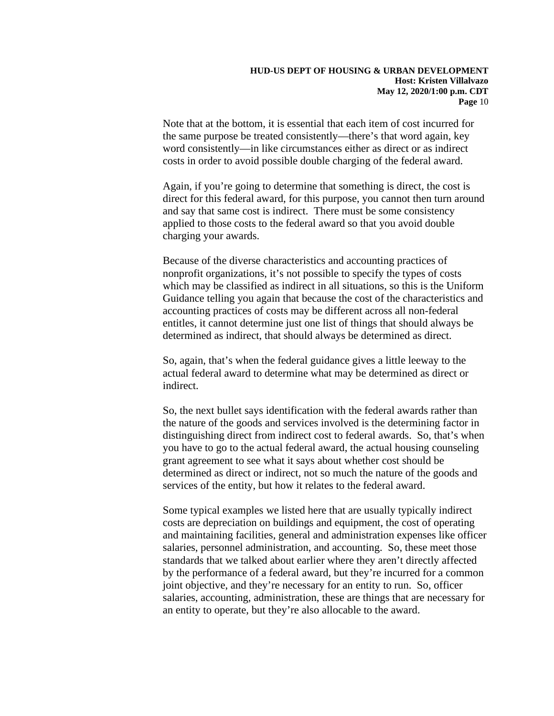Note that at the bottom, it is essential that each item of cost incurred for word consistently—in like circumstances either as direct or as indirect the same purpose be treated consistently—there's that word again, key costs in order to avoid possible double charging of the federal award.

 applied to those costs to the federal award so that you avoid double charging your awards. Again, if you're going to determine that something is direct, the cost is direct for this federal award, for this purpose, you cannot then turn around and say that same cost is indirect. There must be some consistency

 which may be classified as indirect in all situations, so this is the Uniform Because of the diverse characteristics and accounting practices of nonprofit organizations, it's not possible to specify the types of costs Guidance telling you again that because the cost of the characteristics and accounting practices of costs may be different across all non-federal entitles, it cannot determine just one list of things that should always be determined as indirect, that should always be determined as direct.

 So, again, that's when the federal guidance gives a little leeway to the actual federal award to determine what may be determined as direct or indirect.

 So, the next bullet says identification with the federal awards rather than the nature of the goods and services involved is the determining factor in distinguishing direct from indirect cost to federal awards. So, that's when grant agreement to see what it says about whether cost should be services of the entity, but how it relates to the federal award. you have to go to the actual federal award, the actual housing counseling determined as direct or indirect, not so much the nature of the goods and

 joint objective, and they're necessary for an entity to run. So, officer Some typical examples we listed here that are usually typically indirect costs are depreciation on buildings and equipment, the cost of operating and maintaining facilities, general and administration expenses like officer salaries, personnel administration, and accounting. So, these meet those standards that we talked about earlier where they aren't directly affected by the performance of a federal award, but they're incurred for a common salaries, accounting, administration, these are things that are necessary for an entity to operate, but they're also allocable to the award.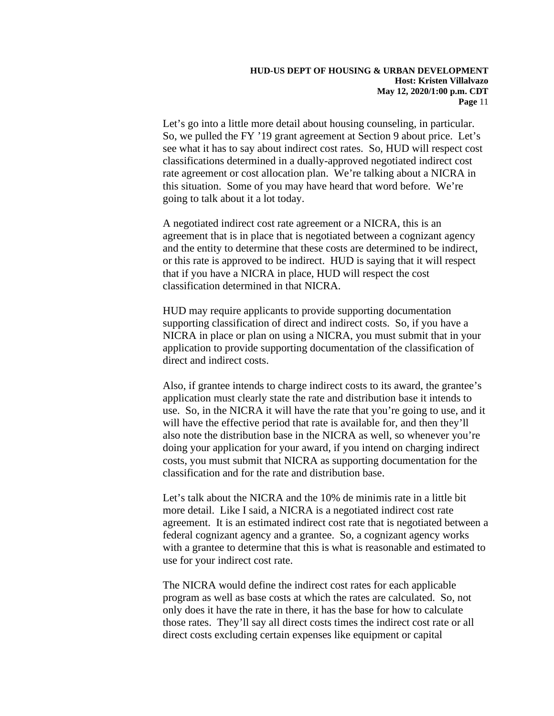see what it has to say about indirect cost rates. So, HUD will respect cost Let's go into a little more detail about housing counseling, in particular. So, we pulled the FY '19 grant agreement at Section 9 about price. Let's classifications determined in a dually-approved negotiated indirect cost rate agreement or cost allocation plan. We're talking about a NICRA in this situation. Some of you may have heard that word before. We're going to talk about it a lot today.

A negotiated indirect cost rate agreement or a NICRA, this is an agreement that is in place that is negotiated between a cognizant agency and the entity to determine that these costs are determined to be indirect, or this rate is approved to be indirect. HUD is saying that it will respect that if you have a NICRA in place, HUD will respect the cost classification determined in that NICRA.

HUD may require applicants to provide supporting documentation supporting classification of direct and indirect costs. So, if you have a NICRA in place or plan on using a NICRA, you must submit that in your application to provide supporting documentation of the classification of direct and indirect costs.

 Also, if grantee intends to charge indirect costs to its award, the grantee's application must clearly state the rate and distribution base it intends to use. So, in the NICRA it will have the rate that you're going to use, and it will have the effective period that rate is available for, and then they'll also note the distribution base in the NICRA as well, so whenever you're doing your application for your award, if you intend on charging indirect costs, you must submit that NICRA as supporting documentation for the classification and for the rate and distribution base.

 agreement. It is an estimated indirect cost rate that is negotiated between a Let's talk about the NICRA and the 10% de minimis rate in a little bit more detail. Like I said, a NICRA is a negotiated indirect cost rate federal cognizant agency and a grantee. So, a cognizant agency works with a grantee to determine that this is what is reasonable and estimated to use for your indirect cost rate.

 The NICRA would define the indirect cost rates for each applicable those rates. They'll say all direct costs times the indirect cost rate or all program as well as base costs at which the rates are calculated. So, not only does it have the rate in there, it has the base for how to calculate direct costs excluding certain expenses like equipment or capital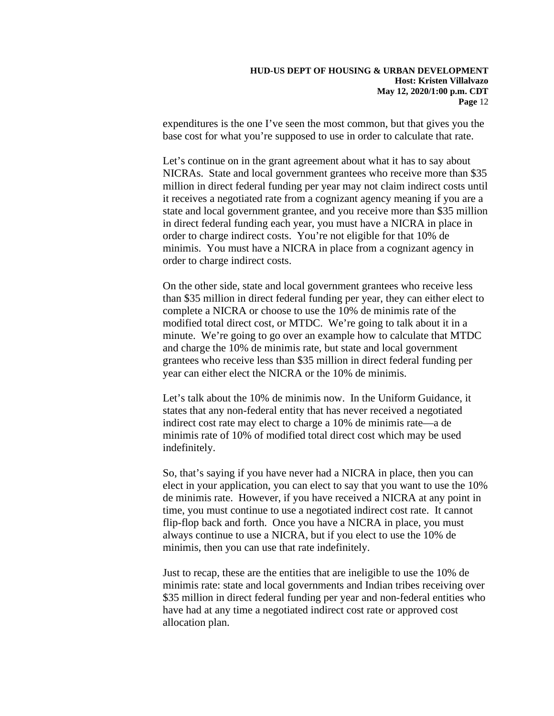base cost for what you're supposed to use in order to calculate that rate. expenditures is the one I've seen the most common, but that gives you the

 million in direct federal funding per year may not claim indirect costs until order to charge indirect costs. You're not eligible for that 10% de minimis. You must have a NICRA in place from a cognizant agency in Let's continue on in the grant agreement about what it has to say about NICRAs. State and local government grantees who receive more than \$35 it receives a negotiated rate from a cognizant agency meaning if you are a state and local government grantee, and you receive more than \$35 million in direct federal funding each year, you must have a NICRA in place in order to charge indirect costs.

 On the other side, state and local government grantees who receive less than \$35 million in direct federal funding per year, they can either elect to modified total direct cost, or MTDC. We're going to talk about it in a minute. We're going to go over an example how to calculate that MTDC complete a NICRA or choose to use the 10% de minimis rate of the and charge the 10% de minimis rate, but state and local government grantees who receive less than \$35 million in direct federal funding per year can either elect the NICRA or the 10% de minimis.

Let's talk about the 10% de minimis now. In the Uniform Guidance, it states that any non-federal entity that has never received a negotiated indirect cost rate may elect to charge a 10% de minimis rate—a de minimis rate of 10% of modified total direct cost which may be used indefinitely.

 time, you must continue to use a negotiated indirect cost rate. It cannot always continue to use a NICRA, but if you elect to use the 10% de So, that's saying if you have never had a NICRA in place, then you can elect in your application, you can elect to say that you want to use the 10% de minimis rate. However, if you have received a NICRA at any point in flip-flop back and forth. Once you have a NICRA in place, you must minimis, then you can use that rate indefinitely.

 minimis rate: state and local governments and Indian tribes receiving over Just to recap, these are the entities that are ineligible to use the 10% de \$35 million in direct federal funding per year and non-federal entities who have had at any time a negotiated indirect cost rate or approved cost allocation plan.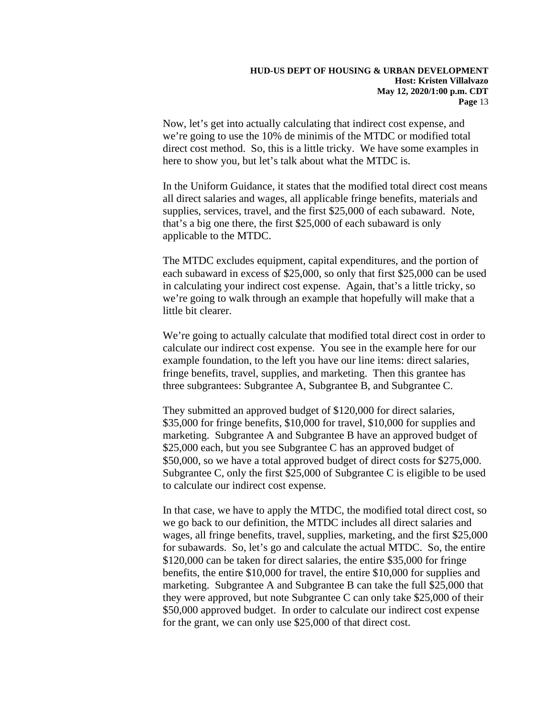Now, let's get into actually calculating that indirect cost expense, and we're going to use the 10% de minimis of the MTDC or modified total direct cost method. So, this is a little tricky. We have some examples in here to show you, but let's talk about what the MTDC is.

 In the Uniform Guidance, it states that the modified total direct cost means all direct salaries and wages, all applicable fringe benefits, materials and applicable to the MTDC. supplies, services, travel, and the first \$25,000 of each subaward. Note, that's a big one there, the first \$25,000 of each subaward is only

little bit clearer. The MTDC excludes equipment, capital expenditures, and the portion of each subaward in excess of \$25,000, so only that first \$25,000 can be used in calculating your indirect cost expense. Again, that's a little tricky, so we're going to walk through an example that hopefully will make that a

little bit clearer.<br>We're going to actually calculate that modified total direct cost in order to calculate our indirect cost expense. You see in the example here for our three subgrantees: Subgrantee A, Subgrantee B, and Subgrantee C. example foundation, to the left you have our line items: direct salaries, fringe benefits, travel, supplies, and marketing. Then this grantee has

\$25,000 each, but you see Subgrantee C has an approved budget of \$25,000 each, but you see Subgrantee C has an approved budget of \$50,000, so we have a total approved budget of direct costs for \$275,000. They submitted an approved budget of \$120,000 for direct salaries, \$35,000 for fringe benefits, \$10,000 for travel, \$10,000 for supplies and marketing. Subgrantee A and Subgrantee B have an approved budget of Subgrantee C, only the first \$25,000 of Subgrantee C is eligible to be used to calculate our indirect cost expense.

 for subawards. So, let's go and calculate the actual MTDC. So, the entire \$120,000 can be taken for direct salaries, the entire \$35,000 for fringe \$50,000 approved budget. In order to calculate our indirect cost expense for the grant, we can only use \$25,000 of that direct cost. In that case, we have to apply the MTDC, the modified total direct cost, so we go back to our definition, the MTDC includes all direct salaries and wages, all fringe benefits, travel, supplies, marketing, and the first \$25,000 benefits, the entire \$10,000 for travel, the entire \$10,000 for supplies and marketing. Subgrantee A and Subgrantee B can take the full \$25,000 that they were approved, but note Subgrantee C can only take \$25,000 of their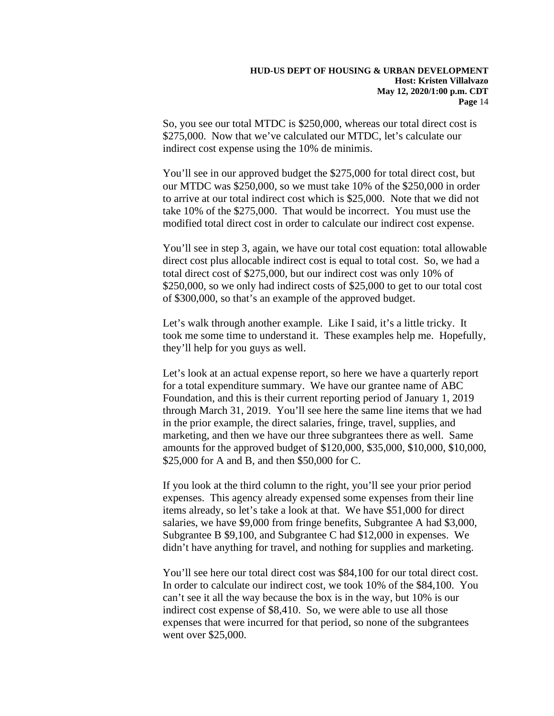So, you see our total MTDC is \$250,000, whereas our total direct cost is \$275,000. Now that we've calculated our MTDC, let's calculate our indirect cost expense using the 10% de minimis.

 You'll see in our approved budget the \$275,000 for total direct cost, but our MTDC was \$250,000, so we must take 10% of the \$250,000 in order to arrive at our total indirect cost which is \$25,000. Note that we did not take 10% of the \$275,000. That would be incorrect. You must use the modified total direct cost in order to calculate our indirect cost expense.

You'll see in step 3, again, we have our total cost equation: total allowable direct cost plus allocable indirect cost is equal to total cost. So, we had a total direct cost of \$275,000, but our indirect cost was only 10% of \$250,000, so we only had indirect costs of \$25,000 to get to our total cost of \$300,000, so that's an example of the approved budget.

they'll help for you guys as well. Let's walk through another example. Like I said, it's a little tricky. It took me some time to understand it. These examples help me. Hopefully,

 for a total expenditure summary. We have our grantee name of ABC through March 31, 2019. You'll see here the same line items that we had amounts for the approved budget of \$120,000, \$35,000, \$10,000, \$10,000, Let's look at an actual expense report, so here we have a quarterly report Foundation, and this is their current reporting period of January 1, 2019 in the prior example, the direct salaries, fringe, travel, supplies, and marketing, and then we have our three subgrantees there as well. Same \$25,000 for A and B, and then \$50,000 for C.

If you look at the third column to the right, you'll see your prior period expenses. This agency already expensed some expenses from their line items already, so let's take a look at that. We have \$51,000 for direct salaries, we have \$9,000 from fringe benefits, Subgrantee A had \$3,000, Subgrantee B \$9,100, and Subgrantee C had \$12,000 in expenses. We didn't have anything for travel, and nothing for supplies and marketing.

You'll see here our total direct cost was \$84,100 for our total direct cost. In order to calculate our indirect cost, we took 10% of the \$84,100. You can't see it all the way because the box is in the way, but 10% is our indirect cost expense of \$8,410. So, we were able to use all those expenses that were incurred for that period, so none of the subgrantees went over \$25,000.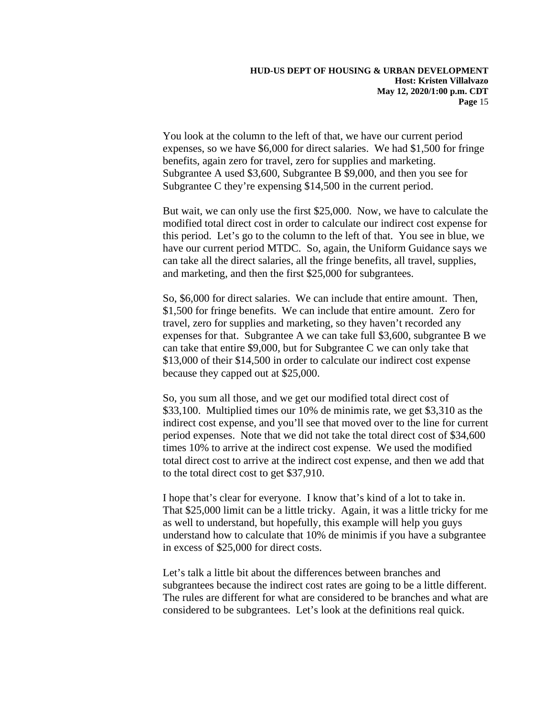expenses, so we have \$6,000 for direct salaries. We had \$1,500 for fringe Subgrantee A used \$3,600, Subgrantee B \$9,000, and then you see for You look at the column to the left of that, we have our current period benefits, again zero for travel, zero for supplies and marketing. Subgrantee C they're expensing \$14,500 in the current period.

 modified total direct cost in order to calculate our indirect cost expense for have our current period MTDC. So, again, the Uniform Guidance says we But wait, we can only use the first \$25,000. Now, we have to calculate the this period. Let's go to the column to the left of that. You see in blue, we can take all the direct salaries, all the fringe benefits, all travel, supplies, and marketing, and then the first \$25,000 for subgrantees.

 \$1,500 for fringe benefits. We can include that entire amount. Zero for expenses for that. Subgrantee A we can take full \$3,600, subgrantee B we because they capped out at \$25,000. So, \$6,000 for direct salaries. We can include that entire amount. Then, travel, zero for supplies and marketing, so they haven't recorded any can take that entire \$9,000, but for Subgrantee C we can only take that \$13,000 of their \$14,500 in order to calculate our indirect cost expense

 indirect cost expense, and you'll see that moved over to the line for current times 10% to arrive at the indirect cost expense. We used the modified So, you sum all those, and we get our modified total direct cost of \$33,100. Multiplied times our 10% de minimis rate, we get \$3,310 as the period expenses. Note that we did not take the total direct cost of \$34,600 total direct cost to arrive at the indirect cost expense, and then we add that to the total direct cost to get \$37,910.

I hope that's clear for everyone. I know that's kind of a lot to take in. That \$25,000 limit can be a little tricky. Again, it was a little tricky for me as well to understand, but hopefully, this example will help you guys understand how to calculate that 10% de minimis if you have a subgrantee in excess of \$25,000 for direct costs.

 Let's talk a little bit about the differences between branches and subgrantees because the indirect cost rates are going to be a little different. The rules are different for what are considered to be branches and what are considered to be subgrantees. Let's look at the definitions real quick.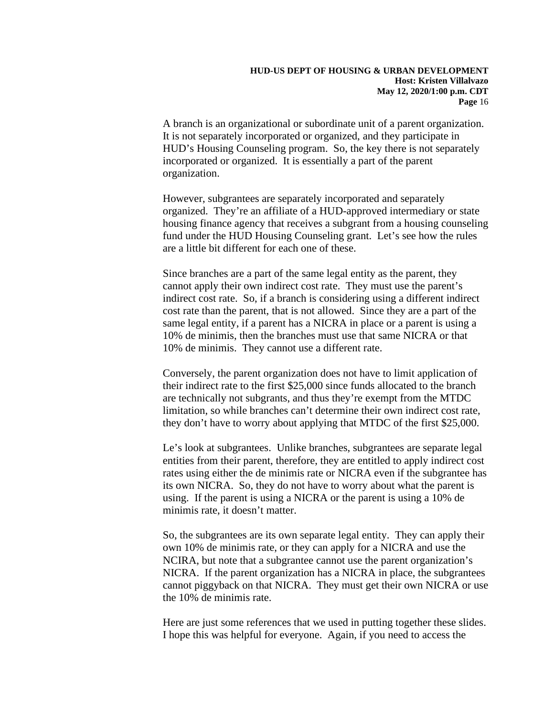A branch is an organizational or subordinate unit of a parent organization. It is not separately incorporated or organized, and they participate in HUD's Housing Counseling program. So, the key there is not separately incorporated or organized. It is essentially a part of the parent organization.

 housing finance agency that receives a subgrant from a housing counseling However, subgrantees are separately incorporated and separately organized. They're an affiliate of a HUD-approved intermediary or state fund under the HUD Housing Counseling grant. Let's see how the rules are a little bit different for each one of these.

 indirect cost rate. So, if a branch is considering using a different indirect 10% de minimis, then the branches must use that same NICRA or that Since branches are a part of the same legal entity as the parent, they cannot apply their own indirect cost rate. They must use the parent's cost rate than the parent, that is not allowed. Since they are a part of the same legal entity, if a parent has a NICRA in place or a parent is using a 10% de minimis. They cannot use a different rate.

 limitation, so while branches can't determine their own indirect cost rate, Conversely, the parent organization does not have to limit application of their indirect rate to the first \$25,000 since funds allocated to the branch are technically not subgrants, and thus they're exempt from the MTDC they don't have to worry about applying that MTDC of the first \$25,000.

 Le's look at subgrantees. Unlike branches, subgrantees are separate legal using. If the parent is using a NICRA or the parent is using a 10% de minimis rate, it doesn't matter. entities from their parent, therefore, they are entitled to apply indirect cost rates using either the de minimis rate or NICRA even if the subgrantee has its own NICRA. So, they do not have to worry about what the parent is

 own 10% de minimis rate, or they can apply for a NICRA and use the the 10% de minimis rate. So, the subgrantees are its own separate legal entity. They can apply their NCIRA, but note that a subgrantee cannot use the parent organization's NICRA. If the parent organization has a NICRA in place, the subgrantees cannot piggyback on that NICRA. They must get their own NICRA or use

 I hope this was helpful for everyone. Again, if you need to access the Here are just some references that we used in putting together these slides.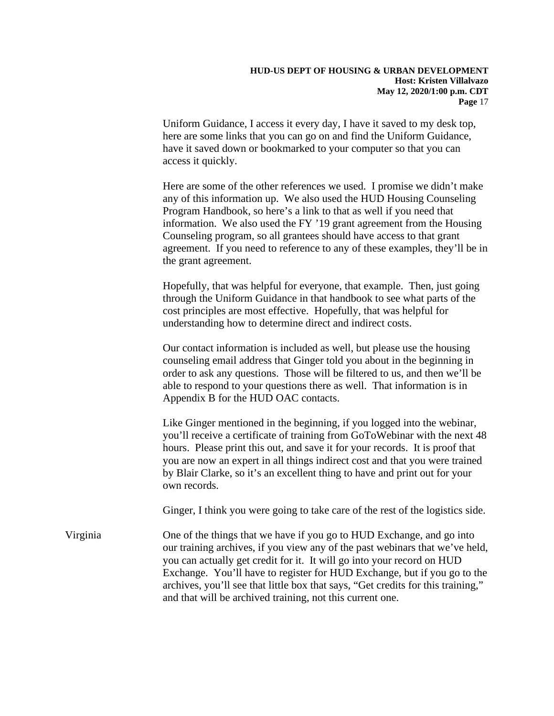Uniform Guidance, I access it every day, I have it saved to my desk top, here are some links that you can go on and find the Uniform Guidance, have it saved down or bookmarked to your computer so that you can access it quickly.

 Here are some of the other references we used. I promise we didn't make information. We also used the FY '19 grant agreement from the Housing Counseling program, so all grantees should have access to that grant agreement. If you need to reference to any of these examples, they'll be in the grant agreement. any of this information up. We also used the HUD Housing Counseling Program Handbook, so here's a link to that as well if you need that

the grant agreement.<br>Hopefully, that was helpful for everyone, that example. Then, just going understanding how to determine direct and indirect costs. through the Uniform Guidance in that handbook to see what parts of the cost principles are most effective. Hopefully, that was helpful for

 Our contact information is included as well, but please use the housing counseling email address that Ginger told you about in the beginning in order to ask any questions. Those will be filtered to us, and then we'll be able to respond to your questions there as well. That information is in Appendix B for the HUD OAC contacts.

 you'll receive a certificate of training from GoToWebinar with the next 48 hours. Please print this out, and save it for your records. It is proof that Like Ginger mentioned in the beginning, if you logged into the webinar, you are now an expert in all things indirect cost and that you were trained by Blair Clarke, so it's an excellent thing to have and print out for your own records.

Ginger, I think you were going to take care of the rest of the logistics side.

 and that will be archived training, not this current one. Virginia One of the things that we have if you go to HUD Exchange, and go into our training archives, if you view any of the past webinars that we've held, you can actually get credit for it. It will go into your record on HUD Exchange. You'll have to register for HUD Exchange, but if you go to the archives, you'll see that little box that says, "Get credits for this training,"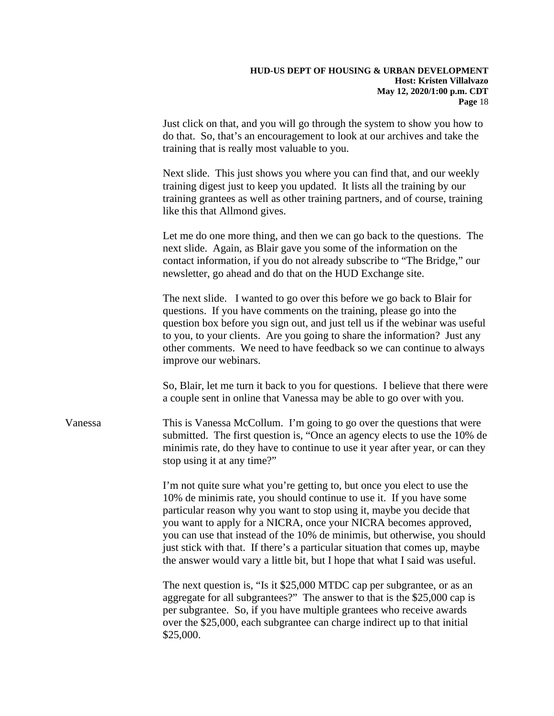do that. So, that's an encouragement to look at our archives and take the Just click on that, and you will go through the system to show you how to training that is really most valuable to you.

 training grantees as well as other training partners, and of course, training like this that Allmond gives. Next slide. This just shows you where you can find that, and our weekly training digest just to keep you updated. It lists all the training by our

Let me do one more thing, and then we can go back to the questions. The next slide. Again, as Blair gave you some of the information on the contact information, if you do not already subscribe to "The Bridge," our newsletter, go ahead and do that on the HUD Exchange site.

 questions. If you have comments on the training, please go into the question box before you sign out, and just tell us if the webinar was useful The next slide. I wanted to go over this before we go back to Blair for to you, to your clients. Are you going to share the information? Just any other comments. We need to have feedback so we can continue to always improve our webinars.

So, Blair, let me turn it back to you for questions. I believe that there were a couple sent in online that Vanessa may be able to go over with you.

stop using it at any time?" Vanessa This is Vanessa McCollum. I'm going to go over the questions that were submitted. The first question is, "Once an agency elects to use the 10% de minimis rate, do they have to continue to use it year after year, or can they

stop using it at any time?"<br>I'm not quite sure what you're getting to, but once you elect to use the particular reason why you want to stop using it, maybe you decide that you want to apply for a NICRA, once your NICRA becomes approved, 10% de minimis rate, you should continue to use it. If you have some you can use that instead of the 10% de minimis, but otherwise, you should just stick with that. If there's a particular situation that comes up, maybe the answer would vary a little bit, but I hope that what I said was useful.

The next question is, "Is it \$25,000 MTDC cap per subgrantee, or as an aggregate for all subgrantees?" The answer to that is the \$25,000 cap is per subgrantee. So, if you have multiple grantees who receive awards over the \$25,000, each subgrantee can charge indirect up to that initial \$25,000.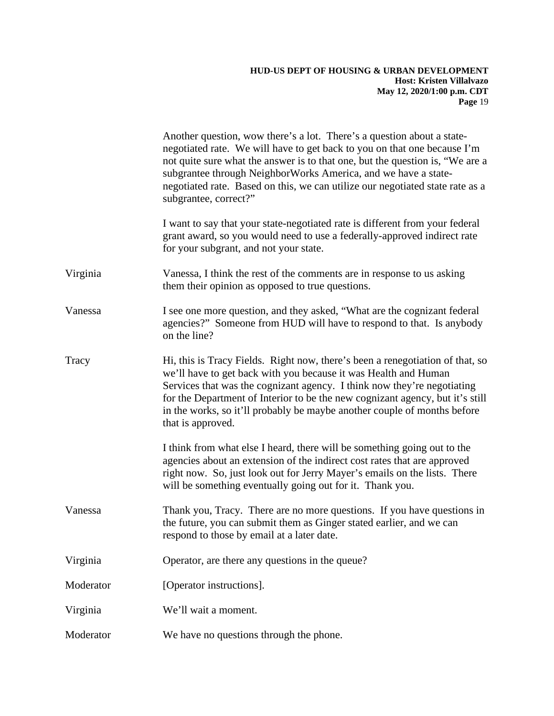### **Host: Kristen Villalvazo HUD-US DEPT OF HOUSING & URBAN DEVELOPMENT May 12, 2020/1:00 p.m. CDT Page** 19

|           | Another question, wow there's a lot. There's a question about a state-<br>negotiated rate. We will have to get back to you on that one because I'm<br>not quite sure what the answer is to that one, but the question is, "We are a<br>subgrantee through NeighborWorks America, and we have a state-<br>negotiated rate. Based on this, we can utilize our negotiated state rate as a<br>subgrantee, correct?" |
|-----------|-----------------------------------------------------------------------------------------------------------------------------------------------------------------------------------------------------------------------------------------------------------------------------------------------------------------------------------------------------------------------------------------------------------------|
|           | I want to say that your state-negotiated rate is different from your federal<br>grant award, so you would need to use a federally-approved indirect rate<br>for your subgrant, and not your state.                                                                                                                                                                                                              |
| Virginia  | Vanessa, I think the rest of the comments are in response to us asking<br>them their opinion as opposed to true questions.                                                                                                                                                                                                                                                                                      |
| Vanessa   | I see one more question, and they asked, "What are the cognizant federal<br>agencies?" Someone from HUD will have to respond to that. Is anybody<br>on the line?                                                                                                                                                                                                                                                |
| Tracy     | Hi, this is Tracy Fields. Right now, there's been a renegotiation of that, so<br>we'll have to get back with you because it was Health and Human<br>Services that was the cognizant agency. I think now they're negotiating<br>for the Department of Interior to be the new cognizant agency, but it's still<br>in the works, so it'll probably be maybe another couple of months before<br>that is approved.   |
|           | I think from what else I heard, there will be something going out to the<br>agencies about an extension of the indirect cost rates that are approved<br>right now. So, just look out for Jerry Mayer's emails on the lists. There<br>will be something eventually going out for it. Thank you.                                                                                                                  |
| Vanessa   | Thank you, Tracy. There are no more questions. If you have questions in<br>the future, you can submit them as Ginger stated earlier, and we can<br>respond to those by email at a later date.                                                                                                                                                                                                                   |
| Virginia  | Operator, are there any questions in the queue?                                                                                                                                                                                                                                                                                                                                                                 |
| Moderator | [Operator instructions].                                                                                                                                                                                                                                                                                                                                                                                        |
| Virginia  | We'll wait a moment.                                                                                                                                                                                                                                                                                                                                                                                            |
| Moderator | We have no questions through the phone.                                                                                                                                                                                                                                                                                                                                                                         |